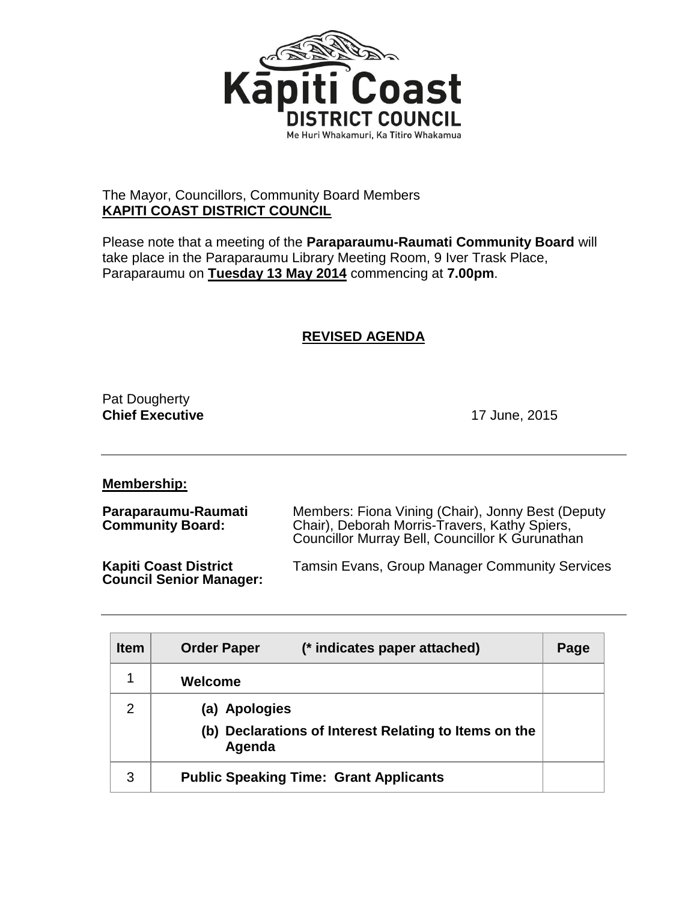

## The Mayor, Councillors, Community Board Members **KAPITI COAST DISTRICT COUNCIL**

Please note that a meeting of the **Paraparaumu-Raumati Community Board** will take place in the Paraparaumu Library Meeting Room, 9 Iver Trask Place, Paraparaumu on **Tuesday 13 May 2014** commencing at **7.00pm**.

## **REVISED AGENDA**

Pat Dougherty **Chief Executive** 2015

**Membership:**

| Paraparaumu-Raumati<br><b>Community Board:</b>                 | Members: Fiona Vining (Chair), Jonny Best (Deputy<br>Chair), Deborah Morris-Travers, Kathy Spiers,<br>Councillor Murray Bell, Councillor K Gurunathan |  |
|----------------------------------------------------------------|-------------------------------------------------------------------------------------------------------------------------------------------------------|--|
| <b>Kapiti Coast District</b><br><b>Council Senior Manager:</b> | <b>Tamsin Evans, Group Manager Community Services</b>                                                                                                 |  |

| <b>Item</b> | (* indicates paper attached)<br><b>Order Paper</b>              | Page |
|-------------|-----------------------------------------------------------------|------|
| 1           | Welcome                                                         |      |
| 2           | (a) Apologies                                                   |      |
|             | (b) Declarations of Interest Relating to Items on the<br>Agenda |      |
| 3           | <b>Public Speaking Time: Grant Applicants</b>                   |      |